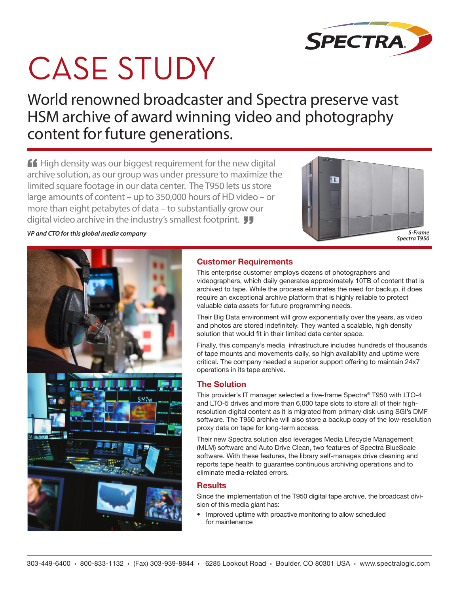

# **CASE STUDY**

World renowned broadcaster and Spectra preserve vast HSM archive of award winning video and photography content for future generations.

 $\mathbf{f}$  High density was our biggest requirement for the new digital archive solution, as our group was under pressure to maximize the limited square footage in our data center. The T950 lets us store large amounts of content – up to 350,000 hours of HD video – or more than eight petabytes of data – to substantially grow our digital video archive in the industry's smallest footprint. **JJ** 





## **Customer Requirements**

This enterprise customer employs dozens of photographers and videographers, which daily generates approximately 10TB of content that is archived to tape. While the process eliminates the need for backup, it does require an exceptional archive platform that is highly reliable to protect valuable data assets for future programming needs.

Their Big Data environment will grow exponentially over the years, as video and photos are stored indefinitely. They wanted a scalable, high density solution that would fit in their limited data center space.

Finally, this company's media infrastructure includes hundreds of thousands of tape mounts and movements daily, so high availability and uptime were critical. The company needed a superior support offering to maintain 24x7 operations in its tape archive.

## **The Solution**

This provider's IT manager selected a five-frame Spectra® T950 with LTO-4 and LTO-5 drives and more than 6,000 tape slots to store all of their highresolution digital content as it is migrated from primary disk using SGI's DMF software. The T950 archive will also store a backup copy of the low-resolution proxy data on tape for long-term access.

Their new Spectra solution also leverages Media Lifecycle Management (MLM) software and Auto Drive Clean, two features of Spectra BlueScale software. With these features, the library self-manages drive cleaning and reports tape health to guarantee continuous archiving operations and to eliminate media-related errors.

Since the implementation of the T950 digital tape archive, the broadcast division of this media giant has:

**•** Improved uptime with proactive monitoring to allow scheduled for maintenance